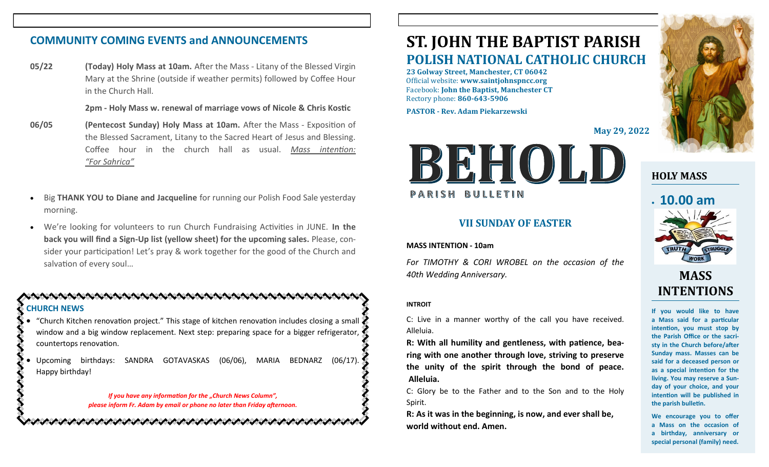## **COMMUNITY COMING EVENTS and ANNOUNCEMENTS**

**05/22 (Today) Holy Mass at 10am.** After the Mass - Litany of the Blessed Virgin Mary at the Shrine (outside if weather permits) followed by Coffee Hour in the Church Hall.

**2pm - Holy Mass w. renewal of marriage vows of Nicole & Chris Kostic**

- **06/05 (Pentecost Sunday) Holy Mass at 10am.** After the Mass Exposition of the Blessed Sacrament, Litany to the Sacred Heart of Jesus and Blessing. Coffee hour in the church hall as usual. *Mass intention: "For Sahrica"*
- Big **THANK YOU to Diane and Jacqueline** for running our Polish Food Sale yesterday morning.
- We're looking for volunteers to run Church Fundraising Activities in JUNE. **In the back you will find a Sign-Up list (yellow sheet) for the upcoming sales.** Please, consider your participation! Let's pray & work together for the good of the Church and salvation of every soul…

#### そんへんへんしんへんしんへんへんしんへんしんへんしんへんしんへんしん **CHURCH NEWS**

• "Church Kitchen renovation project." This stage of kitchen renovation includes closing a small window and a big window replacement. Next step: preparing space for a bigger refrigerator, countertops renovation.

• Upcoming birthdays: SANDRA GOTAVASKAS (06/06), MARIA BEDNARZ (06/17). Happy birthday!

> *If you have any information for the "Church News Column", please inform Fr. Adam by email or phone no later than Friday afternoon.*

へんけいかんけいかいかいかいかいかいかいかいかいかいかい

# **ST. JOHN THE BAPTIST PARISH POLISH NATIONAL CATHOLIC CHURCH**

**23 Golway Street, Manchester, CT 06042** Official website: **www.saintjohnspncc.org** Facebook: **John the Baptist, Manchester CT** Rectory phone: **860-643-5906** 

**PASTOR - Rev. Adam Piekarzewski**

**May 29, 2022**



### **VII SUNDAY OF EASTER**

#### **MASS INTENTION - 10am**

*For TIMOTHY & CORI WROBEL on the occasion of the 40th Wedding Anniversary.* 

#### **INTROIT**

C: Live in a manner worthy of the call you have received. Alleluia.

**R: With all humility and gentleness, with patience, bearing with one another through love, striving to preserve the unity of the spirit through the bond of peace. Alleluia.**

C: Glory be to the Father and to the Son and to the Holy Spirit.

**R: As it was in the beginning, is now, and ever shall be, world without end. Amen.**



## **HOLY MASS**

## • **10.00 am**



# **MASS INTENTIONS**

**If you would like to have a Mass said for a particular intention, you must stop by the Parish Office or the sacristy in the Church before/after Sunday mass. Masses can be said for a deceased person or as a special intention for the living. You may reserve a Sunday of your choice, and your intention will be published in the parish bulletin.**

**We encourage you to offer a Mass on the occasion of a birthday, anniversary or special personal (family) need.**